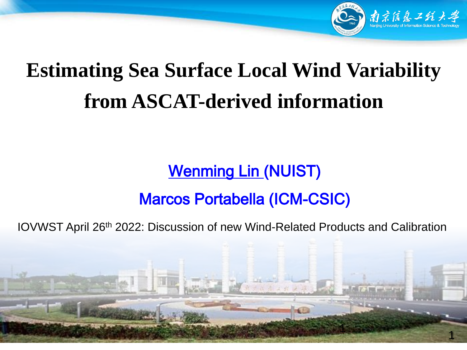

## **Estimating Sea Surface Local Wind Variability from ASCAT-derived information**

#### **Wenming Lin (NUIST)**

#### Marcos Portabella (ICM-CSIC)

IOVWST April 26th 2022: Discussion of new Wind-Related Products and Calibration

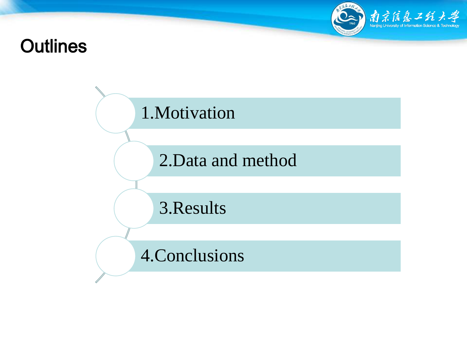# $\mathcal{L}$   $\mathcal{L}$   $\mathcal{L}$   $\mathcal{L}$   $\mathcal{L}$   $\mathcal{L}$   $\mathcal{L}$   $\mathcal{L}$

#### **Outlines**

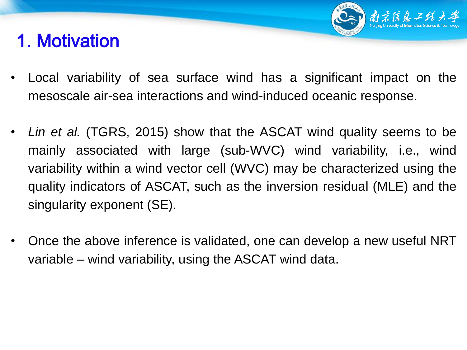### 1. Motivation

• Local variability of sea surface wind has a significant impact on the mesoscale air-sea interactions and wind-induced oceanic response.

南京信息工纸

- *Lin et al.* (TGRS, 2015) show that the ASCAT wind quality seems to be mainly associated with large (sub-WVC) wind variability, i.e., wind variability within a wind vector cell (WVC) may be characterized using the quality indicators of ASCAT, such as the inversion residual (MLE) and the singularity exponent (SE).
- Once the above inference is validated, one can develop a new useful NRT variable – wind variability, using the ASCAT wind data.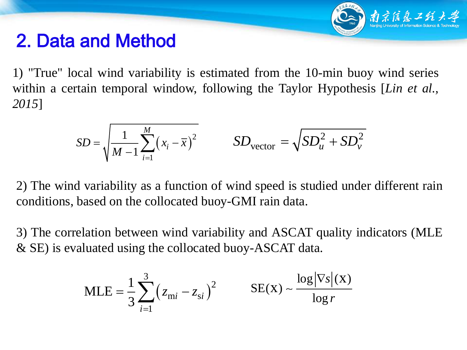

#### 2. Data and Method

1) "True" local wind variability is estimated from the 10-min buoy wind series within a certain temporal window, following the Taylor Hypothesis [*Lin et al., 2015*]

$$
SD = \sqrt{\frac{1}{M-1} \sum_{i=1}^{M} (x_i - \overline{x})^2}
$$
 
$$
SD_{\text{vector}} = \sqrt{SD_u^2 + SD_v^2}
$$

2) The wind variability as a function of wind speed is studied under different rain conditions, based on the collocated buoy-GMI rain data.

3) The correlation between wind variability and ASCAT quality indicators (MLE & SE) is evaluated using the collocated buoy-ASCAT data.

$$
MLE = \frac{1}{3} \sum_{i=1}^{3} (z_{mi} - z_{si})^2
$$
 
$$
SE(X) \sim \frac{\log |\nabla s|(X)}{\log r}
$$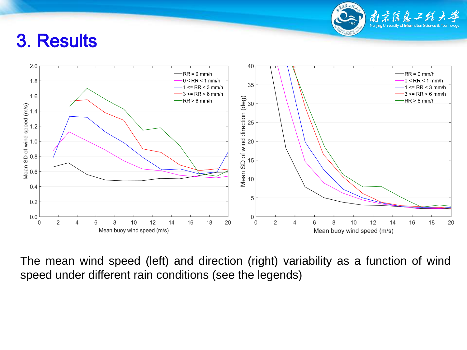

#### 3. Results



The mean wind speed (left) and direction (right) variability as a function of wind speed under different rain conditions (see the legends)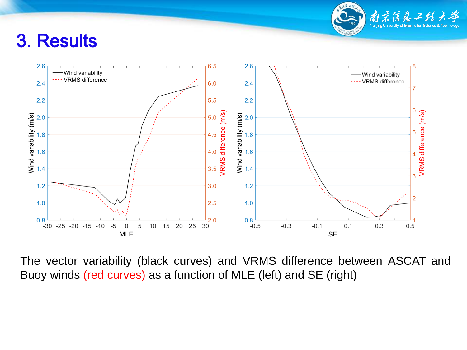

#### 3. Results



The vector variability (black curves) and VRMS difference between ASCAT and Buoy winds (red curves) as a function of MLE (left) and SE (right)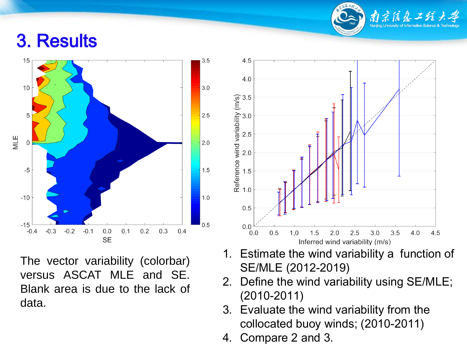#### 3. Results



The vector variability (colorbar) versus ASCAT MLE and SE. Blank area is due to the lack of data.



南京信息工的

- 1. Estimate the wind variability a function of SE/MLE (2012-2019)
- 2. Define the wind variability using SE/MLE; (2010-2011)
- 3. Evaluate the wind variability from the collocated buoy winds; (2010-2011)
- 4. Compare 2 and 3.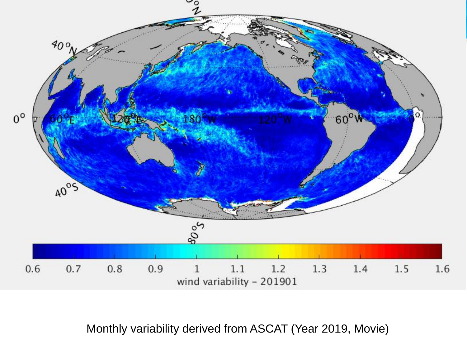

Monthly variability derived from ASCAT (Year 2019, Movie)